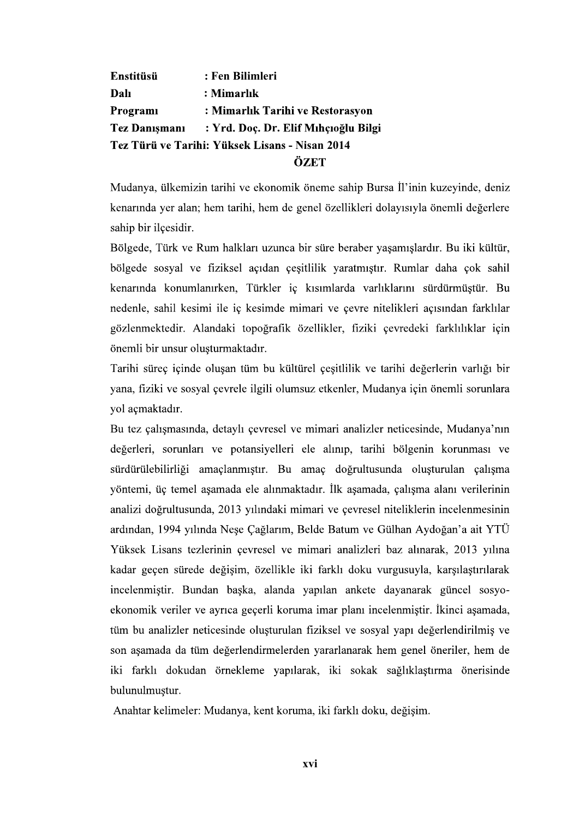: Fen Bilimleri **Enstitüsü Dalı** : Mimarlık Programi : Mimarlık Tarihi ve Restorasyon : Yrd. Doc. Dr. Elif Mıhçıoğlu Bilgi **Tez Danismani** Tez Türü ve Tarihi: Yüksek Lisans - Nisan 2014 ÖZET

Mudanya, ülkemizin tarihi ve ekonomik öneme sahip Bursa İl'inin kuzeyinde, deniz kenarında ver alan; hem tarihi, hem de genel özellikleri dolayısıyla önemli değerlere sahip bir ilçesidir.

Bölgede, Türk ve Rum halkları uzunca bir süre beraber yaşamışlardır. Bu iki kültür, bölgede sosyal ve fiziksel açıdan çeşitlilik yaratmıştır. Rumlar daha çok sahil kenarında konumlanırken, Türkler iç kısımlarda varlıklarını sürdürmüştür. Bu nedenle, sahil kesimi ile iç kesimde mimari ve çevre nitelikleri açısından farklılar gözlenmektedir. Alandaki topoğrafik özellikler, fiziki çevredeki farklılıklar için önemli bir unsur oluşturmaktadır.

Tarihi süreç içinde olusan tüm bu kültürel çesitlilik ve tarihi değerlerin varlığı bir yana, fiziki ve sosyal çevrele ilgili olumsuz etkenler, Mudanya için önemli sorunlara yol açmaktadır.

Bu tez çalışmasında, detaylı çevresel ve mimari analizler neticesinde, Mudanya'nın değerleri, sorunları ve potansiyelleri ele alınıp, tarihi bölgenin korunması ve sürdürülebilirliği amaçlanmıştır. Bu amaç doğrultusunda oluşturulan çalışma yöntemi, üç temel aşamada ele alınmaktadır. İlk aşamada, çalışma alanı verilerinin analizi doğrultusunda, 2013 yılındaki mimari ve çevresel niteliklerin incelenmesinin ardından, 1994 yılında Neşe Çağlarım, Belde Batum ve Gülhan Aydoğan'a ait YTÜ Yüksek Lisans tezlerinin çevresel ve mimari analizleri baz alınarak, 2013 yılına kadar geçen sürede değişim, özellikle iki farklı doku vurgusuyla, karşılaştırılarak incelenmistir. Bundan baska, alanda yapılan ankete dayanarak güncel sosyoekonomik veriler ve ayrıca geçerli koruma imar planı incelenmiştir. İkinci aşamada, tüm bu analizler neticesinde oluşturulan fiziksel ve sosyal yapı değerlendirilmiş ve son aşamada da tüm değerlendirmelerden yararlanarak hem genel öneriler, hem de iki farklı dokudan örnekleme yapılarak, iki sokak sağlıklaştırma önerisinde bulunulmustur.

Anahtar kelimeler: Mudanya, kent koruma, iki farklı doku, değişim.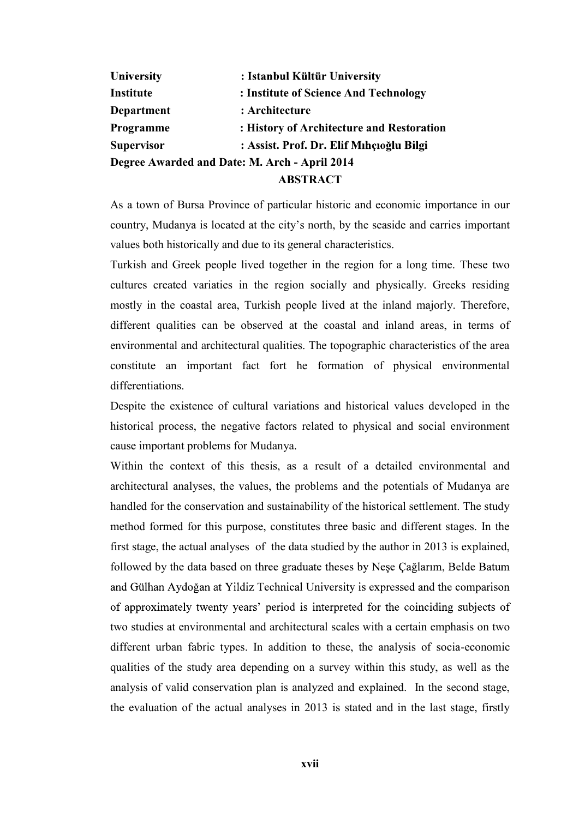| University                                    | : Istanbul Kültür University              |
|-----------------------------------------------|-------------------------------------------|
| Institute                                     | : Institute of Science And Technology     |
| Department                                    | : Architecture                            |
| Programme                                     | : History of Architecture and Restoration |
| <b>Supervisor</b>                             | : Assist. Prof. Dr. Elif Mıhçıoğlu Bilgi  |
| Degree Awarded and Date: M. Arch - April 2014 |                                           |
| <b>ABSTRACT</b>                               |                                           |

As a town of Bursa Province of particular historic and economic importance in our country, Mudanya is located at the city's north, by the seaside and carries important values both historically and due to its general characteristics.

Turkish and Greek people lived together in the region for a long time. These two cultures created variaties in the region socially and physically. Greeks residing mostly in the coastal area, Turkish people lived at the inland majorly. Therefore, different qualities can be observed at the coastal and inland areas, in terms of environmental and architectural qualities. The topographic characteristics of the area constitute an important fact fort he formation of physical environmental differentiations.

Despite the existence of cultural variations and historical values developed in the historical process, the negative factors related to physical and social environment cause important problems for Mudanya.

Within the context of this thesis, as a result of a detailed environmental and architectural analyses, the values, the problems and the potentials of Mudanya are handled for the conservation and sustainability of the historical settlement. The study method formed for this purpose, constitutes three basic and different stages. In the first stage, the actual analyses of the data studied by the author in 2013 is explained, followed by the data based on three graduate theses by Nese Cağlarim, Belde Batum and Gülhan Aydoğan at Yildiz Technical University is expressed and the comparison of approximately twenty years' period is interpreted for the coinciding subjects of two studies at environmental and architectural scales with a certain emphasis on two different urban fabric types. In addition to these, the analysis of socia-economic qualities of the study area depending on a survey within this study, as well as the analysis of valid conservation plan is analyzed and explained. In the second stage, the evaluation of the actual analyses in 2013 is stated and in the last stage, firstly